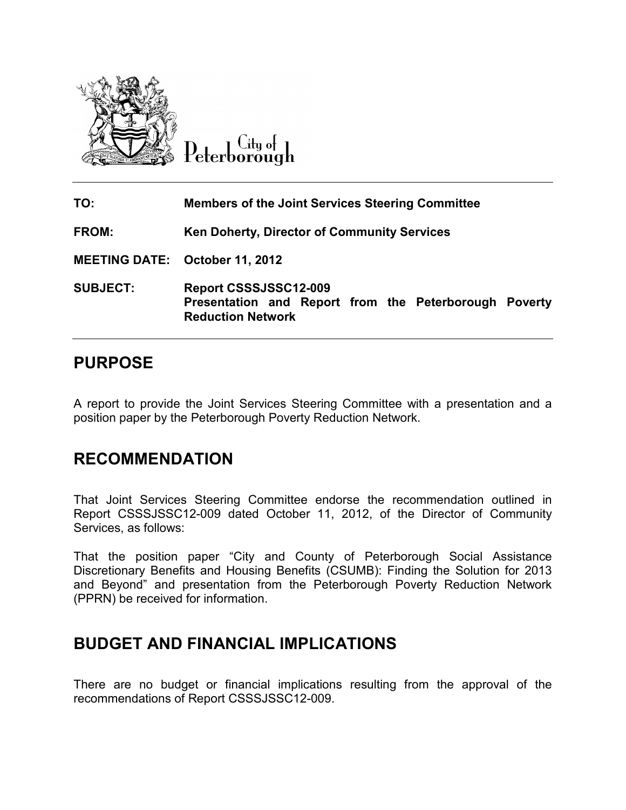

City of Peterborough

| TO:                                   | <b>Members of the Joint Services Steering Committee</b>                                                           |
|---------------------------------------|-------------------------------------------------------------------------------------------------------------------|
| <b>FROM:</b>                          | Ken Doherty, Director of Community Services                                                                       |
| <b>MEETING DATE: October 11, 2012</b> |                                                                                                                   |
| <b>SUBJECT:</b>                       | <b>Report CSSSJSSC12-009</b><br>Presentation and Report from the Peterborough Poverty<br><b>Reduction Network</b> |

## **PURPOSE**

A report to provide the Joint Services Steering Committee with a presentation and a position paper by the Peterborough Poverty Reduction Network.

## **RECOMMENDATION**

That Joint Services Steering Committee endorse the recommendation outlined in Report CSSSJSSC12-009 dated October 11, 2012, of the Director of Community Services, as follows:

That the position paper "City and County of Peterborough Social Assistance Discretionary Benefits and Housing Benefits (CSUMB): Finding the Solution for 2013 and Beyond" and presentation from the Peterborough Poverty Reduction Network (PPRN) be received for information.

## **BUDGET AND FINANCIAL IMPLICATIONS**

There are no budget or financial implications resulting from the approval of the recommendations of Report CSSSJSSC12-009.